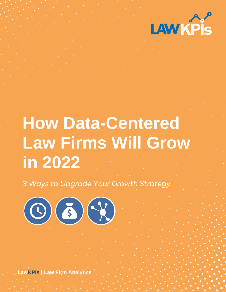

# **How Data-Centered Law Firms Will Grow in 2022**

*3 Ways to Upgrade Your Growth Strategy*



**LawKPIs | Law Firm Analytics**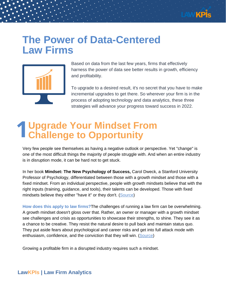

### **The Power of Data-Centered Law Firms**



Based on data from the last few years, firms that effectively harness the power of data see better results in growth, efficiency and profitability.

To upgrade to a desired result, it's no secret that you have to make incremental upgrades to get there. So wherever your firm is in the process of adopting technology and data analytics, these three strategies will advance your progress toward success in 2022.

## **Upgrade Your Mindset From Challenge to Opportunity 1**

Very few people see themselves as having a negative outlook or perspective. Yet "change" is one of the most difficult things the majority of people struggle with. And when an entire industry is in disruption mode, it can be hard not to get stuck.

In her [book](https://hbr.org/search?term=carol%20dweck&search_type=search-all) **Mindset: The New [Psychology](https://hbr.org/search?term=carol%20dweck&search_type=search-all) of Success,** Carol [Dweck,](https://hbr.org/search?term=carol%20dweck&search_type=search-all) a Stanford University Professor of Psychology, differentiated between those with a growth mindset and those with a fixed mindset. From an individual perspective, people with growth mindsets believe that with the right inputs (training, guidance, and tools), their talents can be developed. Those with fixed mindsets believe they either "have it" or they don't. [\(Source\)](https://hbr.org/2016/01/what-having-a-growth-mindset-actually-means)

**How does this apply to law firms?**The challenges of running a law firm can be overwhelming. A growth mindset doesn't gloss over that. Rather, an owner or manager with a growth mindset see challenges and crisis as opportunities to showcase their strengths, to shine. They see it as a chance to be creative. They resist the natural desire to pull back and maintain status quo. They put aside fears about psychological and career risks and get into full attack mode with enthusiasm, confidence, and the conviction that they will win. [\(Source](https://www.labmanager.com/business-management/4-ways-to-transform-challenges-into-opportunities-19417))

Growing a profitable firm in a disrupted industry requires such a mindset.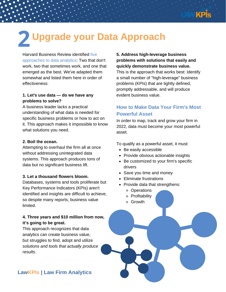

### **Upgrade your Data Approach 2**

Harvard Business Review identified five approaches to data analytics: Two that don't work, two that sometimes work, and one that emerged as the best. We've adapted them somewhat and listed them here in order of effectiveness:

### **1. Let's use data — do we have any problems to solve?**

A business leader lacks a practical understanding of what data is needed for specific business problems or how to act on it. This approach makes it impossible to know what solutions you need.

#### **2. Boil the ocean.**

Attempting to overhaul the firm all at once without addressing unintegrated data systems. This approach produces tons of data but no significant business lift.

#### **3. Let a thousand flowers bloom.**

Databases, systems and tools proliferate but Key Performance Indicators (KPIs) aren't identified and insights are difficult to achieve, so despite many reports, business value limited.

### **4. Three years and \$10 million from now, it's going to be great.**

This approach recognizes that data analytics can create business value, but struggles to find, adopt and utilize *solutions and tools that actually produce results*.

### **5. Address high-leverage business problems with solutions that easily and quickly demonstrate business value.** This is the approach that works best: Identify

a small number of "high-leverage" business problems (KPIs) that are tightly defined, promptly addressable, and will produce evident business value.

### **How to Make Data Your Firm's Most Powerful Asset**

In order to map, track and grow your firm in 2022, data must become your most powerful asset.

To qualify as a powerful asset, it must:

- Be easily accessible
- Provide obvious actionable insights
- Be customized to your firm's specific drivers
- Save you time and money
- Eliminate frustrations
- Provide data that strengthens:
	- Operations
	- o Profitability
	- Growth

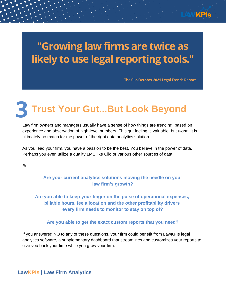

## **"Growing law firms are twice as likely to use legal reporting tools. "**

**The Clio October 2021 Legal Trends Report**

### **Trust Your Gut...But Look Beyond 3**

Law firm owners and managers usually have a sense of how things are trending, based on experience and observation of high-level numbers. This gut feeling is valuable, but *alone*, it is ultimately no match for the power of the right data analytics solution.

As you lead your firm, you have a passion to be the best. You believe in the power of data. Perhaps you even utilize a quality LMS like Clio or various other sources of data.

But …

### **Are your current analytics solutions moving the needle on your law firm's growth?**

**Are you able to keep your finger on the pulse of operational expenses, billable hours, fee allocation and the other profitability drivers every firm needs to monitor to stay on top of?**

#### **Are you able to get the exact custom reports that you need?**

If you answered NO to any of these questions, your firm could benefit from LawKPIs legal analytics software, a supplementary dashboard that streamlines and customizes your reports to give you back your time while you grow your firm.

**LawKPIs | Law Firm Analytics**